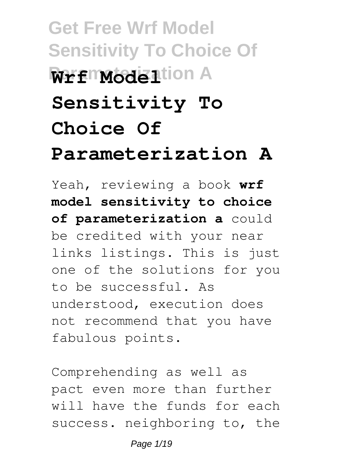# **Get Free Wrf Model Sensitivity To Choice Of Wrfmodelland Sensitivity To Choice Of Parameterization A**

Yeah, reviewing a book **wrf model sensitivity to choice of parameterization a** could be credited with your near links listings. This is just one of the solutions for you to be successful. As understood, execution does not recommend that you have fabulous points.

Comprehending as well as pact even more than further will have the funds for each success. neighboring to, the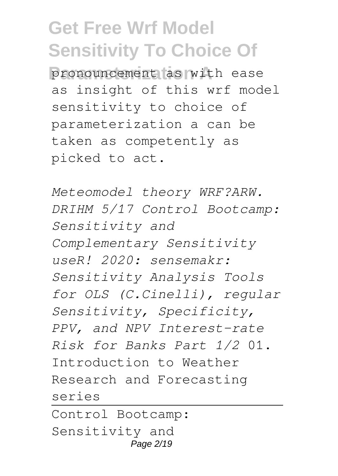**Parameterization A** pronouncement as with ease as insight of this wrf model sensitivity to choice of parameterization a can be taken as competently as picked to act.

*Meteomodel theory WRF?ARW. DRIHM 5/17 Control Bootcamp: Sensitivity and Complementary Sensitivity useR! 2020: sensemakr: Sensitivity Analysis Tools for OLS (C.Cinelli), regular Sensitivity, Specificity, PPV, and NPV Interest-rate Risk for Banks Part 1/2* 01. Introduction to Weather Research and Forecasting series Control Bootcamp:

Sensitivity and Page 2/19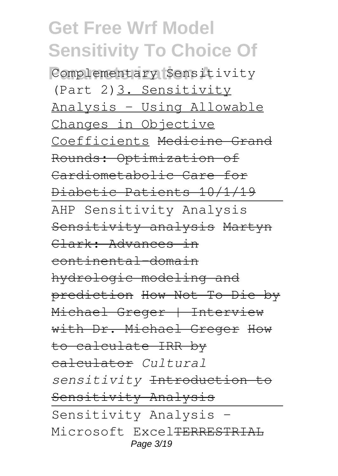**Parameterization A** Complementary Sensitivity (Part 2)3. Sensitivity Analysis - Using Allowable Changes in Objective Coefficients Medicine Grand Rounds: Optimization of Cardiometabolic Care for Diabetic Patients 10/1/19 AHP Sensitivity Analysis Sensitivity analysis Martyn Clark: Advances in continental-domain hydrologic modeling and prediction How Not To Die by Michael Greger | Interview with Dr. Michael Greger How to calculate IRR by calculator *Cultural sensitivity* Introduction to Sensitivity Analysis Sensitivity Analysis - Microsoft Excel<del>TERRESTRIAL</del> Page 3/19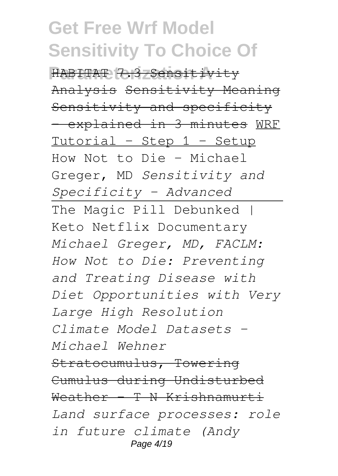**Parameterization A** HABITAT 7.3 Sensitivity Analysis Sensitivity Meaning Sensitivity and specificity - explained in 3 minutes WRF Tutorial - Step 1 - Setup How Not to Die - Michael Greger, MD *Sensitivity and Specificity - Advanced* The Magic Pill Debunked | Keto Netflix Documentary *Michael Greger, MD, FACLM: How Not to Die: Preventing and Treating Disease with Diet Opportunities with Very Large High Resolution Climate Model Datasets - Michael Wehner* Stratocumulus, Towering Cumulus during Undisturbed Weather - T N Krishnamurti *Land surface processes: role in future climate (Andy* Page 4/19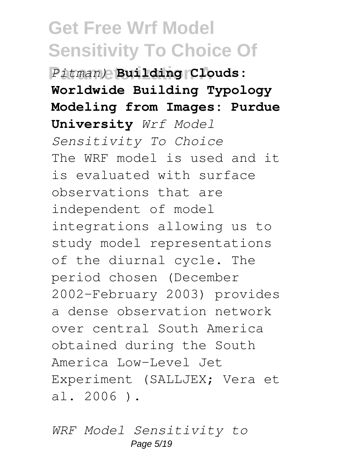**Parameterization A** *Pitman)* **Building Clouds: Worldwide Building Typology Modeling from Images: Purdue University** *Wrf Model Sensitivity To Choice* The WRF model is used and it is evaluated with surface observations that are independent of model integrations allowing us to study model representations of the diurnal cycle. The period chosen (December 2002–February 2003) provides a dense observation network over central South America obtained during the South America Low-Level Jet Experiment (SALLJEX; Vera et al. 2006 ).

*WRF Model Sensitivity to* Page 5/19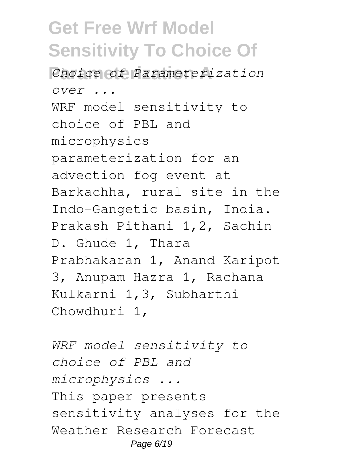**Parameterization A** *Choice of Parameterization over ...* WRF model sensitivity to choice of PBL and microphysics parameterization for an advection fog event at Barkachha, rural site in the Indo-Gangetic basin, India. Prakash Pithani 1,2, Sachin D. Ghude 1, Thara Prabhakaran 1, Anand Karipot 3, Anupam Hazra 1, Rachana Kulkarni 1,3, Subharthi Chowdhuri 1,

*WRF model sensitivity to choice of PBL and microphysics ...* This paper presents sensitivity analyses for the Weather Research Forecast Page 6/19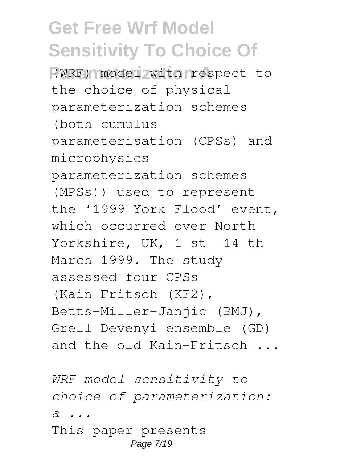**Parameterization A** (WRF) model with respect to the choice of physical parameterization schemes (both cumulus parameterisation (CPSs) and microphysics parameterization schemes (MPSs)) used to represent the '1999 York Flood' event, which occurred over North Yorkshire, UK, 1 st -14 th March 1999. The study assessed four CPSs (Kain–Fritsch (KF2), Betts–Miller–Janjic (BMJ), Grell–Devenyi ensemble (GD) and the old Kain–Fritsch ...

*WRF model sensitivity to choice of parameterization: a ...* This paper presents Page 7/19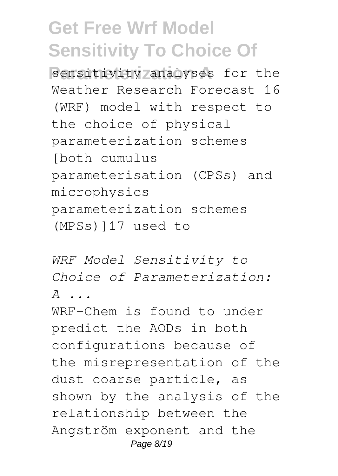**Bensitivity analyses for the** Weather Research Forecast 16 (WRF) model with respect to the choice of physical parameterization schemes [both cumulus parameterisation (CPSs) and microphysics parameterization schemes (MPSs)]17 used to

*WRF Model Sensitivity to Choice of Parameterization: A ...*

WRF-Chem is found to under predict the AODs in both configurations because of the misrepresentation of the dust coarse particle, as shown by the analysis of the relationship between the Angström exponent and the Page 8/19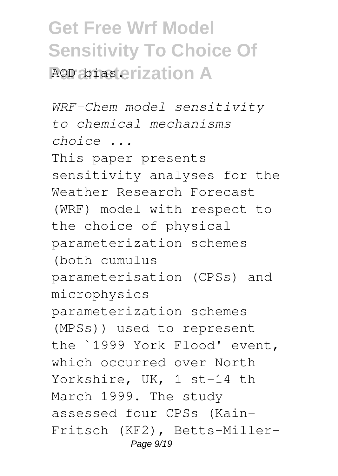## **Get Free Wrf Model Sensitivity To Choice Of ROD abiasterization A**

*WRF-Chem model sensitivity to chemical mechanisms choice ...* This paper presents sensitivity analyses for the Weather Research Forecast (WRF) model with respect to the choice of physical parameterization schemes (both cumulus parameterisation (CPSs) and microphysics parameterization schemes (MPSs)) used to represent the `1999 York Flood' event, which occurred over North Yorkshire, UK, 1 st-14 th March 1999. The study assessed four CPSs (Kain-Fritsch (KF2), Betts-Miller-Page 9/19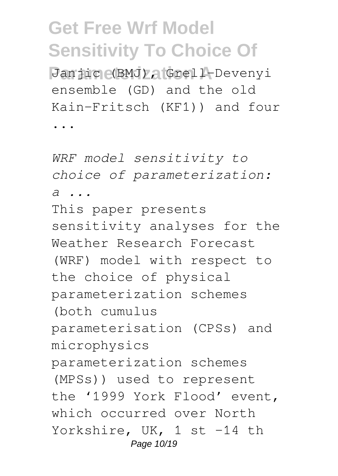**Parameterization A** Janjic (BMJ), Grell-Devenyi ensemble (GD) and the old Kain-Fritsch (KF1)) and four

...

*WRF model sensitivity to choice of parameterization: a ...* This paper presents sensitivity analyses for the Weather Research Forecast (WRF) model with respect to the choice of physical parameterization schemes (both cumulus parameterisation (CPSs) and microphysics parameterization schemes (MPSs)) used to represent the '1999 York Flood' event, which occurred over North Yorkshire, UK, 1 st -14 th Page 10/19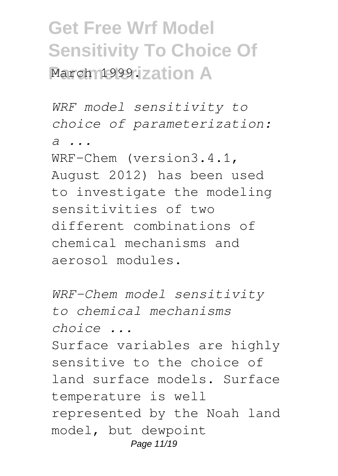## **Get Free Wrf Model Sensitivity To Choice Of March 1999. zation A**

*WRF model sensitivity to choice of parameterization: a ...*

WRF-Chem (version3.4.1, August 2012) has been used to investigate the modeling sensitivities of two different combinations of chemical mechanisms and aerosol modules.

*WRF-Chem model sensitivity to chemical mechanisms choice ...* Surface variables are highly sensitive to the choice of land surface models. Surface temperature is well represented by the Noah land model, but dewpoint Page 11/19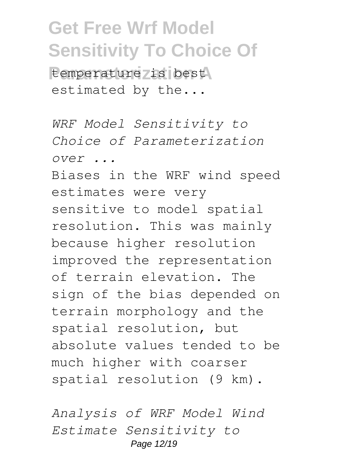**Parameterization A** temperature is best estimated by the...

*WRF Model Sensitivity to Choice of Parameterization over ...*

Biases in the WRF wind speed estimates were very sensitive to model spatial resolution. This was mainly because higher resolution improved the representation of terrain elevation. The sign of the bias depended on terrain morphology and the spatial resolution, but absolute values tended to be much higher with coarser spatial resolution (9 km).

*Analysis of WRF Model Wind Estimate Sensitivity to* Page 12/19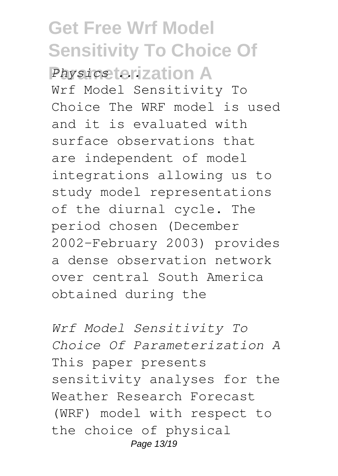**Get Free Wrf Model Sensitivity To Choice Of Physics terization A** Wrf Model Sensitivity To Choice The WRF model is used and it is evaluated with surface observations that are independent of model integrations allowing us to study model representations of the diurnal cycle. The period chosen (December 2002–February 2003) provides a dense observation network over central South America obtained during the

*Wrf Model Sensitivity To Choice Of Parameterization A* This paper presents sensitivity analyses for the Weather Research Forecast (WRF) model with respect to the choice of physical Page 13/19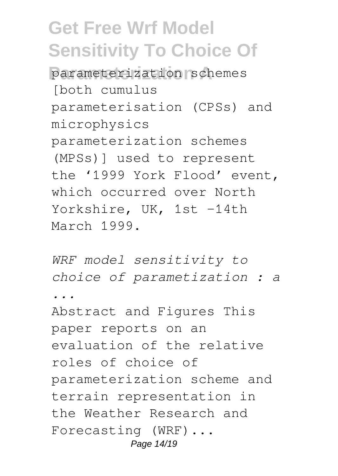**Parameterization A** parameterization schemes [both cumulus parameterisation (CPSs) and microphysics parameterization schemes (MPSs)] used to represent the '1999 York Flood' event, which occurred over North Yorkshire, UK, 1st -14th March 1999.

*WRF model sensitivity to choice of parametization : a ...* Abstract and Figures This paper reports on an evaluation of the relative roles of choice of parameterization scheme and terrain representation in the Weather Research and Forecasting (WRF)... Page 14/19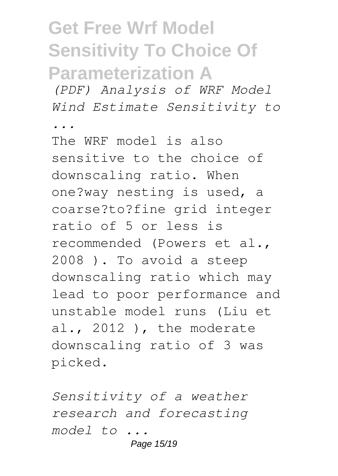## **Get Free Wrf Model Sensitivity To Choice Of Parameterization A**

*(PDF) Analysis of WRF Model Wind Estimate Sensitivity to*

*...*

The WRF model is also sensitive to the choice of downscaling ratio. When one?way nesting is used, a coarse?to?fine grid integer ratio of 5 or less is recommended (Powers et al., 2008 ). To avoid a steep downscaling ratio which may lead to poor performance and unstable model runs (Liu et al., 2012 ), the moderate downscaling ratio of 3 was picked.

*Sensitivity of a weather research and forecasting model to ...*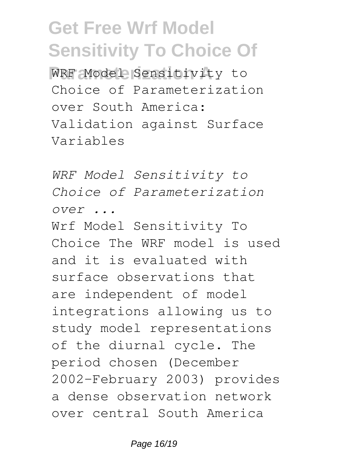**WRF** Model Sensitivity to Choice of Parameterization over South America: Validation against Surface Variables

*WRF Model Sensitivity to Choice of Parameterization over ...*

Wrf Model Sensitivity To Choice The WRF model is used and it is evaluated with surface observations that are independent of model integrations allowing us to study model representations of the diurnal cycle. The period chosen (December 2002–February 2003) provides a dense observation network over central South America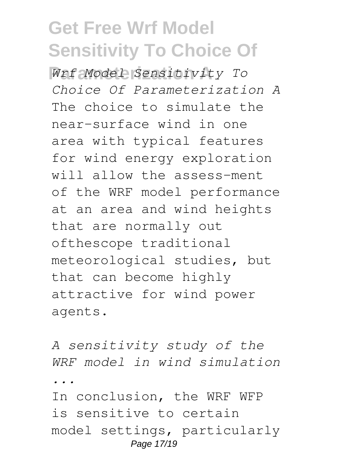**Parameterization A** *Wrf Model Sensitivity To Choice Of Parameterization A* The choice to simulate the near-surface wind in one area with typical features for wind energy exploration will allow the assess-ment of the WRF model performance at an area and wind heights that are normally out ofthescope traditional meteorological studies, but that can become highly attractive for wind power agents.

*A sensitivity study of the WRF model in wind simulation ...* In conclusion, the WRF WFP is sensitive to certain model settings, particularly Page 17/19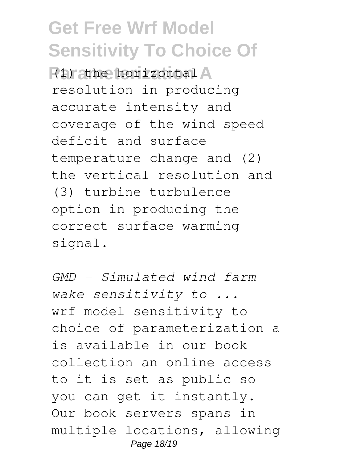**Pirathe horizontal** resolution in producing accurate intensity and coverage of the wind speed deficit and surface temperature change and (2) the vertical resolution and (3) turbine turbulence option in producing the correct surface warming signal.

*GMD - Simulated wind farm wake sensitivity to ...* wrf model sensitivity to choice of parameterization a is available in our book collection an online access to it is set as public so you can get it instantly. Our book servers spans in multiple locations, allowing Page 18/19